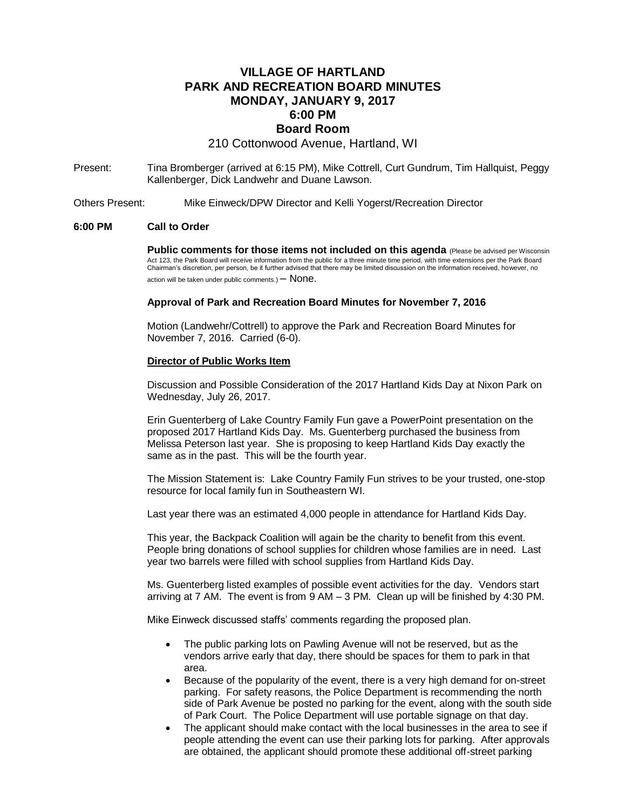# **VILLAGE OF HARTLAND PARK AND RECREATION BOARD MINUTES MONDAY, JANUARY 9, 2017 6:00 PM Board Room**

210 Cottonwood Avenue, Hartland, WI

- Present: Tina Bromberger (arrived at 6:15 PM), Mike Cottrell, Curt Gundrum, Tim Hallquist, Peggy Kallenberger, Dick Landwehr and Duane Lawson.
- Others Present: Mike Einweck/DPW Director and Kelli Yogerst/Recreation Director

### **6:00 PM Call to Order**

**Public comments for those items not included on this agenda** (Please be advised per Wisconsin Act 123, the Park Board will receive information from the public for a three minute time period, with time extensions per the Park Board Chairman's discretion, per person, be it further advised that there may be limited discussion on the information received, however, no action will be taken under public comments.)  $-$  None.

#### **Approval of Park and Recreation Board Minutes for November 7, 2016**

Motion (Landwehr/Cottrell) to approve the Park and Recreation Board Minutes for November 7, 2016. Carried (6-0).

#### **Director of Public Works Item**

Discussion and Possible Consideration of the 2017 Hartland Kids Day at Nixon Park on Wednesday, July 26, 2017.

Erin Guenterberg of Lake Country Family Fun gave a PowerPoint presentation on the proposed 2017 Hartland Kids Day. Ms. Guenterberg purchased the business from Melissa Peterson last year. She is proposing to keep Hartland Kids Day exactly the same as in the past. This will be the fourth year.

The Mission Statement is: Lake Country Family Fun strives to be your trusted, one-stop resource for local family fun in Southeastern WI.

Last year there was an estimated 4,000 people in attendance for Hartland Kids Day.

This year, the Backpack Coalition will again be the charity to benefit from this event. People bring donations of school supplies for children whose families are in need. Last year two barrels were filled with school supplies from Hartland Kids Day.

Ms. Guenterberg listed examples of possible event activities for the day. Vendors start arriving at 7 AM. The event is from 9 AM – 3 PM. Clean up will be finished by 4:30 PM.

Mike Einweck discussed staffs' comments regarding the proposed plan.

- The public parking lots on Pawling Avenue will not be reserved, but as the vendors arrive early that day, there should be spaces for them to park in that area.
- Because of the popularity of the event, there is a very high demand for on-street parking. For safety reasons, the Police Department is recommending the north side of Park Avenue be posted no parking for the event, along with the south side of Park Court. The Police Department will use portable signage on that day.
- The applicant should make contact with the local businesses in the area to see if people attending the event can use their parking lots for parking. After approvals are obtained, the applicant should promote these additional off-street parking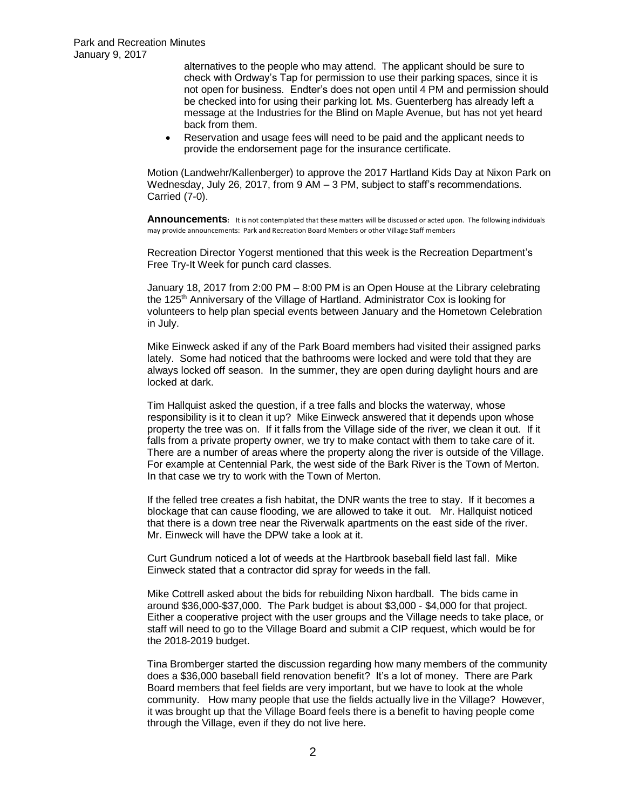alternatives to the people who may attend. The applicant should be sure to check with Ordway's Tap for permission to use their parking spaces, since it is not open for business. Endter's does not open until 4 PM and permission should be checked into for using their parking lot. Ms. Guenterberg has already left a message at the Industries for the Blind on Maple Avenue, but has not yet heard back from them.

 Reservation and usage fees will need to be paid and the applicant needs to provide the endorsement page for the insurance certificate.

Motion (Landwehr/Kallenberger) to approve the 2017 Hartland Kids Day at Nixon Park on Wednesday, July 26, 2017, from 9 AM – 3 PM, subject to staff's recommendations. Carried (7-0).

**Announcements:** It is not contemplated that these matters will be discussed or acted upon. The following individuals may provide announcements: Park and Recreation Board Members or other Village Staff members

Recreation Director Yogerst mentioned that this week is the Recreation Department's Free Try-It Week for punch card classes.

January 18, 2017 from 2:00 PM – 8:00 PM is an Open House at the Library celebrating the 125th Anniversary of the Village of Hartland. Administrator Cox is looking for volunteers to help plan special events between January and the Hometown Celebration in July.

Mike Einweck asked if any of the Park Board members had visited their assigned parks lately. Some had noticed that the bathrooms were locked and were told that they are always locked off season. In the summer, they are open during daylight hours and are locked at dark.

Tim Hallquist asked the question, if a tree falls and blocks the waterway, whose responsibility is it to clean it up? Mike Einweck answered that it depends upon whose property the tree was on. If it falls from the Village side of the river, we clean it out. If it falls from a private property owner, we try to make contact with them to take care of it. There are a number of areas where the property along the river is outside of the Village. For example at Centennial Park, the west side of the Bark River is the Town of Merton. In that case we try to work with the Town of Merton.

If the felled tree creates a fish habitat, the DNR wants the tree to stay. If it becomes a blockage that can cause flooding, we are allowed to take it out. Mr. Hallquist noticed that there is a down tree near the Riverwalk apartments on the east side of the river. Mr. Einweck will have the DPW take a look at it.

Curt Gundrum noticed a lot of weeds at the Hartbrook baseball field last fall. Mike Einweck stated that a contractor did spray for weeds in the fall.

Mike Cottrell asked about the bids for rebuilding Nixon hardball. The bids came in around \$36,000-\$37,000. The Park budget is about \$3,000 - \$4,000 for that project. Either a cooperative project with the user groups and the Village needs to take place, or staff will need to go to the Village Board and submit a CIP request, which would be for the 2018-2019 budget.

Tina Bromberger started the discussion regarding how many members of the community does a \$36,000 baseball field renovation benefit? It's a lot of money. There are Park Board members that feel fields are very important, but we have to look at the whole community. How many people that use the fields actually live in the Village? However, it was brought up that the Village Board feels there is a benefit to having people come through the Village, even if they do not live here.